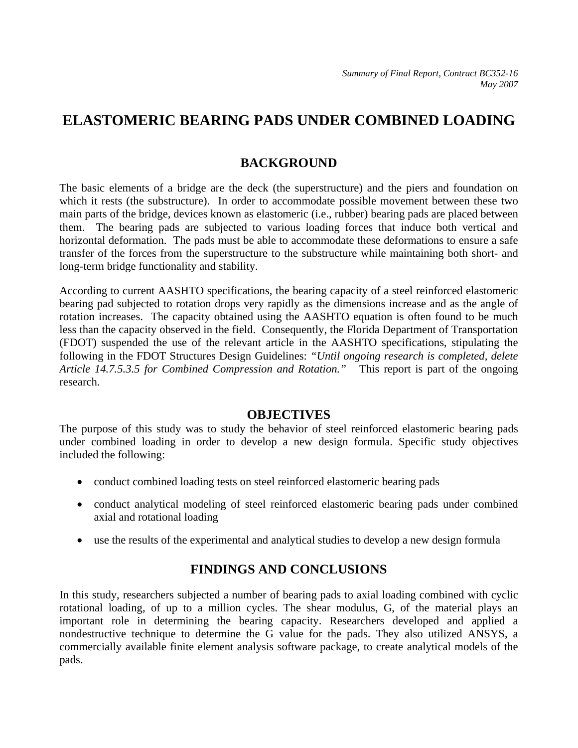# **ELASTOMERIC BEARING PADS UNDER COMBINED LOADING**

## **BACKGROUND**

The basic elements of a bridge are the deck (the superstructure) and the piers and foundation on which it rests (the substructure). In order to accommodate possible movement between these two main parts of the bridge, devices known as elastomeric (i.e., rubber) bearing pads are placed between them. The bearing pads are subjected to various loading forces that induce both vertical and horizontal deformation. The pads must be able to accommodate these deformations to ensure a safe transfer of the forces from the superstructure to the substructure while maintaining both short- and long-term bridge functionality and stability.

According to current AASHTO specifications, the bearing capacity of a steel reinforced elastomeric bearing pad subjected to rotation drops very rapidly as the dimensions increase and as the angle of rotation increases. The capacity obtained using the AASHTO equation is often found to be much less than the capacity observed in the field. Consequently, the Florida Department of Transportation (FDOT) suspended the use of the relevant article in the AASHTO specifications, stipulating the following in the FDOT Structures Design Guidelines: *"Until ongoing research is completed, delete Article 14.7.5.3.5 for Combined Compression and Rotation."* This report is part of the ongoing research.

#### **OBJECTIVES**

The purpose of this study was to study the behavior of steel reinforced elastomeric bearing pads under combined loading in order to develop a new design formula. Specific study objectives included the following:

- conduct combined loading tests on steel reinforced elastomeric bearing pads
- conduct analytical modeling of steel reinforced elastomeric bearing pads under combined axial and rotational loading
- use the results of the experimental and analytical studies to develop a new design formula

## **FINDINGS AND CONCLUSIONS**

In this study, researchers subjected a number of bearing pads to axial loading combined with cyclic rotational loading, of up to a million cycles. The shear modulus, G, of the material plays an important role in determining the bearing capacity. Researchers developed and applied a nondestructive technique to determine the G value for the pads. They also utilized ANSYS, a commercially available finite element analysis software package, to create analytical models of the pads.